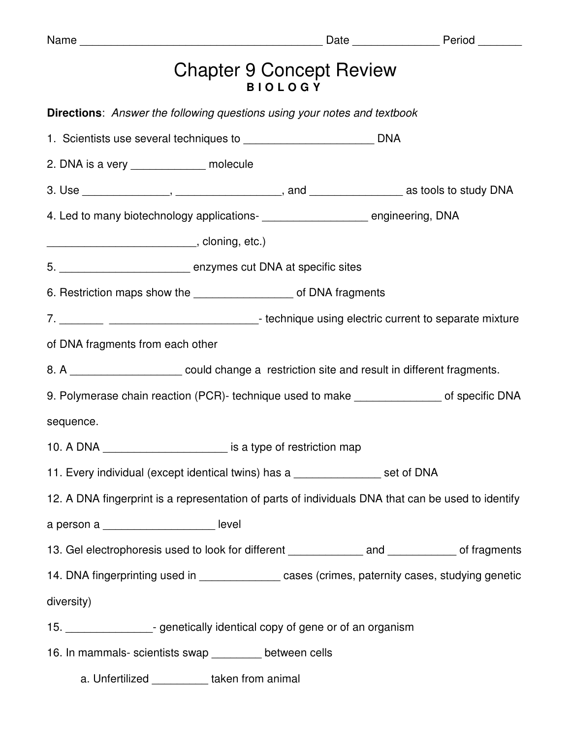| Name $\_\_$                                                                                        |                                                  |  |
|----------------------------------------------------------------------------------------------------|--------------------------------------------------|--|
|                                                                                                    | <b>Chapter 9 Concept Review</b><br><b>IOLOGY</b> |  |
| <b>Directions:</b> Answer the following questions using your notes and textbook                    |                                                  |  |
|                                                                                                    |                                                  |  |
| 2. DNA is a very _______________ molecule                                                          |                                                  |  |
|                                                                                                    |                                                  |  |
| 4. Led to many biotechnology applications-<br><u> </u> engineering, DNA                            |                                                  |  |
|                                                                                                    |                                                  |  |
|                                                                                                    |                                                  |  |
| 6. Restriction maps show the _____________________ of DNA fragments                                |                                                  |  |
|                                                                                                    |                                                  |  |
| of DNA fragments from each other                                                                   |                                                  |  |
| 8. A _______________________ could change a restriction site and result in different fragments.    |                                                  |  |
| 9. Polymerase chain reaction (PCR)- technique used to make ______________ of specific DNA          |                                                  |  |
| sequence.                                                                                          |                                                  |  |
| 10. A DNA ____________________________ is a type of restriction map                                |                                                  |  |
| 11. Every individual (except identical twins) has a ________________ set of DNA                    |                                                  |  |
| 12. A DNA fingerprint is a representation of parts of individuals DNA that can be used to identify |                                                  |  |
| a person a _____________________ level                                                             |                                                  |  |
| 13. Gel electrophoresis used to look for different _______________ and ___________ of fragments    |                                                  |  |
| 14. DNA fingerprinting used in ________________ cases (crimes, paternity cases, studying genetic   |                                                  |  |
| diversity)                                                                                         |                                                  |  |
| 15. __________________- genetically identical copy of gene or of an organism                       |                                                  |  |
| 16. In mammals- scientists swap ________ between cells                                             |                                                  |  |
| a. Unfertilized __________ taken from animal                                                       |                                                  |  |